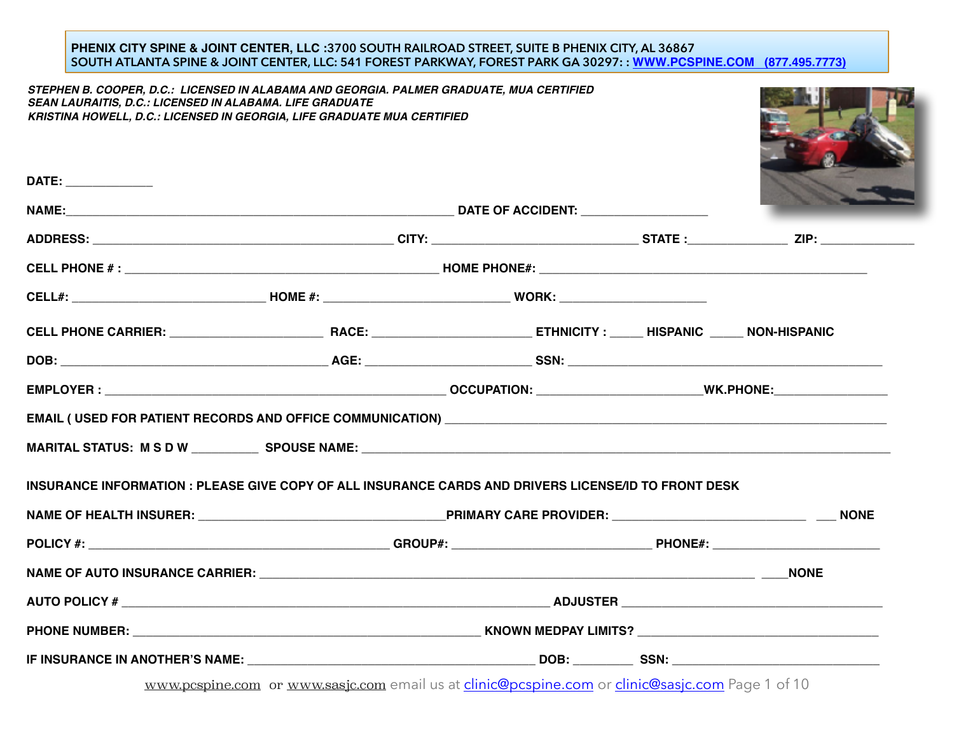#### **PHENIX CITY SPINE & JOINT CENTER, LLC :3700 SOUTH RAILROAD STREET, SUITE B PHENIX CITY, AL 36867 SOUTH ATLANTA SPINE & JOINT CENTER, LLC: 541 FOREST PARKWAY, FOREST PARK GA 30297: : [WWW.PCSPINE.COM](http://www.pcspine.com) (877.495.7773)**

*STEPHEN B. COOPER, D.C.: LICENSED IN ALABAMA AND GEORGIA. PALMER GRADUATE, MUA CERTIFIED SEAN LAURAITIS, D.C.: LICENSED IN ALABAMA. LIFE GRADUATE KRISTINA HOWELL, D.C.: LICENSED IN GEORGIA, LIFE GRADUATE MUA CERTIFIED*



|                                                                                                      |  | <b>Contract of the Contract of the Contract of The Contract of The Contract of The Contract of The Contract of The Contract of The Contract of The Contract of The Contract of The Contract of The Contract of The Contract of T</b> |
|------------------------------------------------------------------------------------------------------|--|--------------------------------------------------------------------------------------------------------------------------------------------------------------------------------------------------------------------------------------|
|                                                                                                      |  |                                                                                                                                                                                                                                      |
|                                                                                                      |  |                                                                                                                                                                                                                                      |
|                                                                                                      |  |                                                                                                                                                                                                                                      |
|                                                                                                      |  |                                                                                                                                                                                                                                      |
|                                                                                                      |  |                                                                                                                                                                                                                                      |
|                                                                                                      |  |                                                                                                                                                                                                                                      |
|                                                                                                      |  |                                                                                                                                                                                                                                      |
|                                                                                                      |  |                                                                                                                                                                                                                                      |
|                                                                                                      |  |                                                                                                                                                                                                                                      |
|                                                                                                      |  |                                                                                                                                                                                                                                      |
|                                                                                                      |  |                                                                                                                                                                                                                                      |
|                                                                                                      |  |                                                                                                                                                                                                                                      |
| INSURANCE INFORMATION : PLEASE GIVE COPY OF ALL INSURANCE CARDS AND DRIVERS LICENSE/ID TO FRONT DESK |  |                                                                                                                                                                                                                                      |

www.pcspine.com or [www.sasjc.com](http://www.sasjc.com) email us at [clinic@pcspine.com](mailto:clinic@pcspine.com) or [clinic@sasjc.com](mailto:clinic@sasjc.com) Page 1 of 10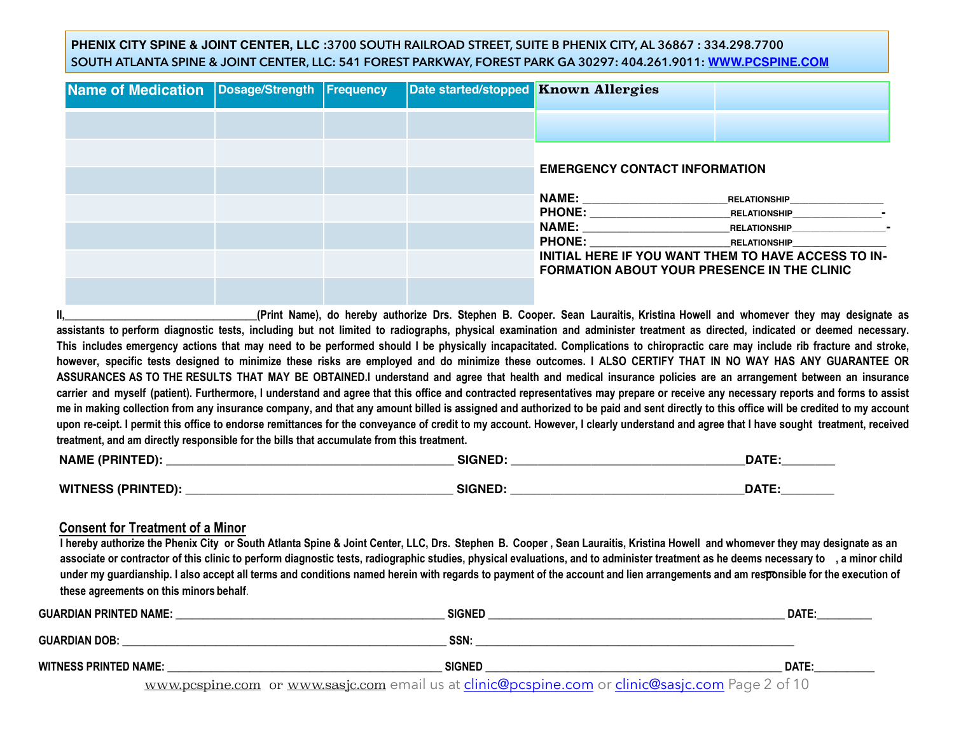## **PHENIX CITY SPINE & JOINT CENTER, LLC :3700 SOUTH RAILROAD STREET, SUITE B PHENIX CITY, AL 36867 : 334.298.7700 SOUTH ATLANTA SPINE & JOINT CENTER, LLC: 541 FOREST PARKWAY, FOREST PARK GA 30297: 404.261.9011: [WWW.PCSPINE.COM](http://www.pcspine.com)**

| Name of Medication   Dosage/Strength   Frequency |  | Date started/stopped Known Allergies                                                                                                  |                                                        |
|--------------------------------------------------|--|---------------------------------------------------------------------------------------------------------------------------------------|--------------------------------------------------------|
|                                                  |  |                                                                                                                                       |                                                        |
|                                                  |  | <b>EMERGENCY CONTACT INFORMATION</b>                                                                                                  |                                                        |
|                                                  |  | NAME:                                                                                                                                 | <b>RELATIONSHIP</b>                                    |
|                                                  |  | NAME: A CONTROLLER STATES AND THE STATES OF THE STATES OF THE STATES OF THE STATES OF THE STATES OF THE STATES<br>PHONE: RELATIONSHIP | RELATIONSHIP <b>FILLE</b><br>RELATIONSHIP <b>FILLE</b> |
|                                                  |  | INITIAL HERE IF YOU WANT THEM TO HAVE ACCESS TO IN-<br><b>FORMATION ABOUT YOUR PRESENCE IN THE CLINIC</b>                             |                                                        |
|                                                  |  |                                                                                                                                       |                                                        |

**II,\_\_\_\_\_\_\_\_\_\_\_\_\_\_\_\_\_\_\_\_\_\_\_\_\_\_\_\_\_\_\_\_\_\_\_(Print Name), do hereby authorize Drs. Stephen B. Cooper. Sean Lauraitis, Kristina Howell and whomever they may designate as assistants to perform diagnostic tests, including but not limited to radiographs, physical examination and administer treatment as directed, indicated or deemed necessary. This includes emergency actions that may need to be performed should I be physically incapacitated. Complications to chiropractic care may include rib fracture and stroke, however, specific tests designed to minimize these risks are employed and do minimize these outcomes. I ALSO CERTIFY THAT IN NO WAY HAS ANY GUARANTEE OR ASSURANCES AS TO THE RESULTS THAT MAY BE OBTAINED.I understand and agree that health and medical insurance policies are an arrangement between an insurance carrier and myself (patient). Furthermore, I understand and agree that this office and contracted representatives may prepare or receive any necessary reports and forms to assist me in making collection from any insurance company, and that any amount billed is assigned and authorized to be paid and sent directly to this office will be credited to my account**  upon re-ceipt. I permit this office to endorse remittances for the conveyance of credit to my account. However, I clearly understand and agree that I have sought treatment, received **treatment, and am directly responsible for the bills that accumulate from this treatment.** 

| <b>NAME</b><br>(PRIN | <b>SIGNED</b> | <b>DATE</b> |
|----------------------|---------------|-------------|
|                      |               |             |
| <b>WITNE</b><br>21 N | <b>SIGNED</b> | <b>DATE</b> |

## **Consent for Treatment of a Minor**

I hereby authorize the Phenix City or South Atlanta Spine & Joint Center, LLC, Drs. Stephen B. Cooper, Sean Lauraitis, Kristina Howell and whomever they may designate as an **associate or contractor of this clinic to perform diagnostic tests, radiographic studies, physical evaluations, and to administer treatment as he deems necessary to , a minor child under my guardianship. I also accept all terms and conditions named herein with regards to payment of the account and lien arrangements and am responsible for the execution of these agreements on this minors behalf**.

| GUARDIAN PRINTED NAME: | <b>SIGNED</b>                                                                                    | DATE: |
|------------------------|--------------------------------------------------------------------------------------------------|-------|
| <b>GUARDIAN DOB:</b>   | SSN:                                                                                             |       |
| WITNESS PRINTED NAME:  | <b>SIGNED</b>                                                                                    | DATE: |
|                        | www.pcspine.com or www.sasjc.com email us at clinic@pcspine.com or clinic@sasjc.com Page 2 of 10 |       |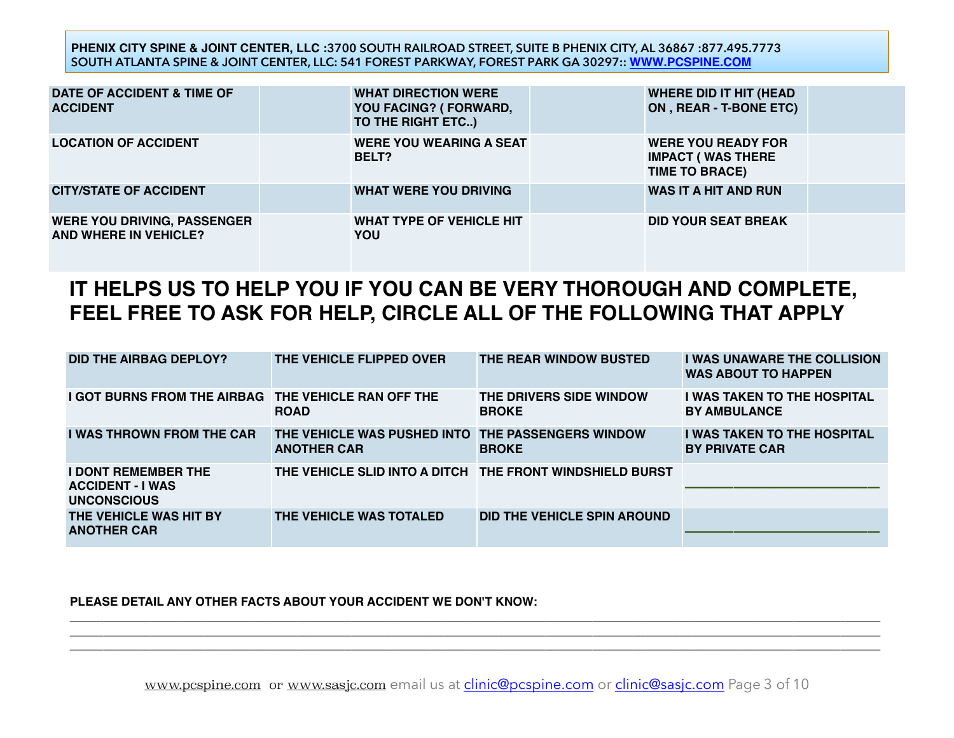**PHENIX CITY SPINE & JOINT CENTER, LLC :3700 SOUTH RAILROAD STREET, SUITE B PHENIX CITY, AL 36867 :877.495.7773 SOUTH ATLANTA SPINE & JOINT CENTER, LLC: 541 FOREST PARKWAY, FOREST PARK GA 30297:: [WWW.PCSPINE.COM](http://www.pcspine.com)**

| DATE OF ACCIDENT & TIME OF<br><b>ACCIDENT</b>               | <b>WHAT DIRECTION WERE</b><br>YOU FACING? (FORWARD,<br>TO THE RIGHT ETC) | <b>WHERE DID IT HIT (HEAD</b><br>ON, REAR - T-BONE ETC)                        |
|-------------------------------------------------------------|--------------------------------------------------------------------------|--------------------------------------------------------------------------------|
| <b>LOCATION OF ACCIDENT</b>                                 | <b>WERE YOU WEARING A SEAT</b><br>BELT?                                  | <b>WERE YOU READY FOR</b><br><b>IMPACT (WAS THERE</b><br><b>TIME TO BRACE)</b> |
| <b>CITY/STATE OF ACCIDENT</b>                               | <b>WHAT WERE YOU DRIVING</b>                                             | <b>WAS IT A HIT AND RUN</b>                                                    |
| <b>WERE YOU DRIVING, PASSENGER</b><br>AND WHERE IN VEHICLE? | <b>WHAT TYPE OF VEHICLE HIT</b><br>YOU                                   | <b>DID YOUR SEAT BREAK</b>                                                     |

# **IT HELPS US TO HELP YOU IF YOU CAN BE VERY THOROUGH AND COMPLETE, FEEL FREE TO ASK FOR HELP, CIRCLE ALL OF THE FOLLOWING THAT APPLY**

| DID THE AIRBAG DEPLOY?                                                      | THE VEHICLE FLIPPED OVER                                                | THE REAR WINDOW BUSTED                  | <b>I WAS UNAWARE THE COLLISION</b><br><b>WAS ABOUT TO HAPPEN</b> |
|-----------------------------------------------------------------------------|-------------------------------------------------------------------------|-----------------------------------------|------------------------------------------------------------------|
| <b>I GOT BURNS FROM THE AIRBAG THE VEHICLE RAN OFF THE</b>                  | <b>ROAD</b>                                                             | THE DRIVERS SIDE WINDOW<br><b>BROKE</b> | <b>I WAS TAKEN TO THE HOSPITAL</b><br><b>BY AMBULANCE</b>        |
| <b>I WAS THROWN FROM THE CAR</b>                                            | THE VEHICLE WAS PUSHED INTO THE PASSENGERS WINDOW<br><b>ANOTHER CAR</b> | <b>BROKE</b>                            | <b>I WAS TAKEN TO THE HOSPITAL</b><br><b>BY PRIVATE CAR</b>      |
| <b>I DONT REMEMBER THE</b><br><b>ACCIDENT - I WAS</b><br><b>UNCONSCIOUS</b> | THE VEHICLE SLID INTO A DITCH THE FRONT WINDSHIELD BURST                |                                         |                                                                  |
| THE VEHICLE WAS HIT BY<br><b>ANOTHER CAR</b>                                | THE VEHICLE WAS TOTALED                                                 | DID THE VEHICLE SPIN AROUND             |                                                                  |

## **PLEASE DETAIL ANY OTHER FACTS ABOUT YOUR ACCIDENT WE DON'T KNOW:**

**\_\_\_\_\_\_\_\_\_\_\_\_\_\_\_\_\_\_\_\_\_\_\_\_\_\_\_\_\_\_\_\_\_\_\_\_\_\_\_\_\_\_\_\_\_\_\_\_\_\_\_\_\_\_\_\_\_\_\_\_\_\_\_\_\_\_\_\_\_\_\_\_\_\_\_\_\_\_\_\_\_\_\_\_\_\_\_\_\_\_\_\_\_\_\_\_\_\_\_\_\_\_\_\_\_\_\_\_\_\_\_\_\_\_\_\_\_\_\_\_\_ \_\_\_\_\_\_\_\_\_\_\_\_\_\_\_\_\_\_\_\_\_\_\_\_\_\_\_\_\_\_\_\_\_\_\_\_\_\_\_\_\_\_\_\_\_\_\_\_\_\_\_\_\_\_\_\_\_\_\_\_\_\_\_\_\_\_\_\_\_\_\_\_\_\_\_\_\_\_\_\_\_\_\_\_\_\_\_\_\_\_\_\_\_\_\_\_\_\_\_\_\_\_\_\_\_\_\_\_\_\_\_\_\_\_\_\_\_\_\_\_\_**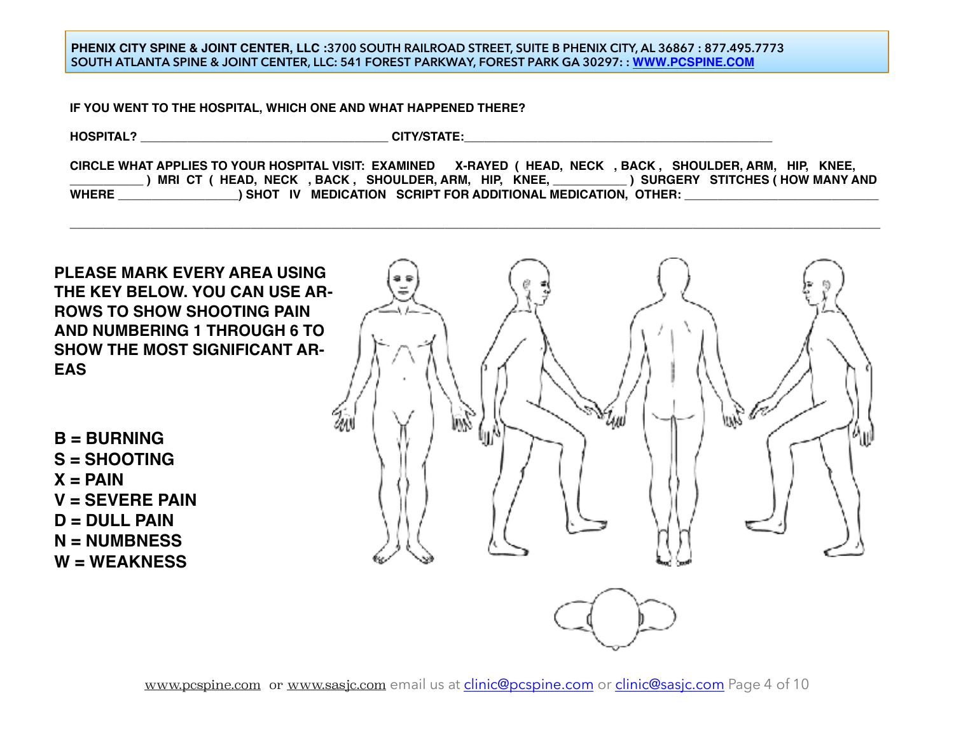### **PHENIX CITY SPINE & JOINT CENTER, LLC :3700 SOUTH RAILROAD STREET, SUITE B PHENIX CITY, AL 36867 : 877.495.7773 SOUTH ATLANTA SPINE & JOINT CENTER, LLC: 541 FOREST PARKWAY, FOREST PARK GA 30297: : [WWW.PCSPINE.COM](http://www.pcspine.com)**

**IF YOU WENT TO THE HOSPITAL, WHICH ONE AND WHAT HAPPENED THERE?**

**HOSPITAL? with a control of the control of the control of the control of the control of the control of the control of the control of the control of the control of the control of the control of the control of the control** 

**CIRCLE WHAT APPLIES TO YOUR HOSPITAL VISIT: EXAMINED X-RAYED ( HEAD, NECK , BACK , SHOULDER, ARM, HIP, KNEE, \_\_\_\_\_\_\_\_\_\_\_ ) MRI CT ( HEAD, NECK , BACK , SHOULDER, ARM, HIP, KNEE, \_\_\_\_\_\_\_\_\_\_\_ ) SURGERY STITCHES ( HOW MANY AND**  WHERE \_\_\_\_\_\_\_\_\_\_\_\_\_\_\_\_\_\_\_\_\_) SHOT IV MEDICATION SCRIPT FOR ADDITIONAL MEDICATION, OTHER:

**\_\_\_\_\_\_\_\_\_\_\_\_\_\_\_\_\_\_\_\_\_\_\_\_\_\_\_\_\_\_\_\_\_\_\_\_\_\_\_\_\_\_\_\_\_\_\_\_\_\_\_\_\_\_\_\_\_\_\_\_\_\_\_\_\_\_\_\_\_\_\_\_\_\_\_\_\_\_\_\_\_\_\_\_\_\_\_\_\_\_\_\_\_\_\_\_\_\_\_\_\_\_\_\_\_\_\_\_\_\_\_\_\_\_\_\_\_\_\_\_\_**

**PLEASE MARK EVERY AREA USING THE KEY BELOW. YOU CAN USE AR-ROWS TO SHOW SHOOTING PAIN AND NUMBERING 1 THROUGH 6 TO SHOW THE MOST SIGNIFICANT AR-EAS**

**B = BURNING S = SHOOTING**  $X = PAIN$ **V = SEVERE PAIN D = DULL PAIN N = NUMBNESS W = WEAKNESS**

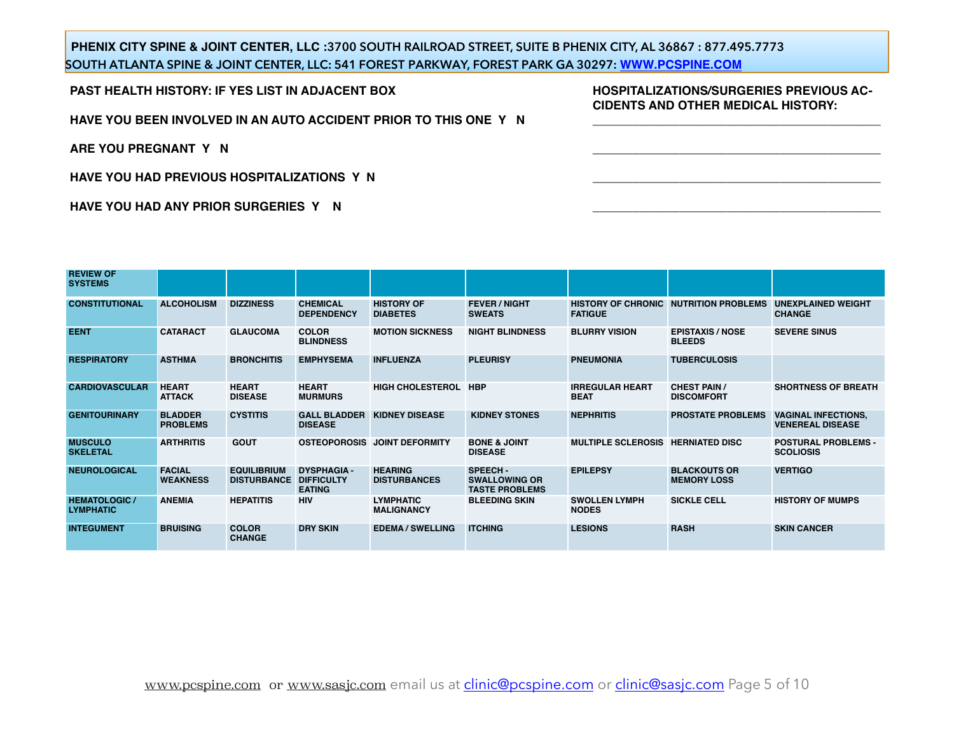## **PHENIX CITY SPINE & JOINT CENTER, LLC :3700 SOUTH RAILROAD STREET, SUITE B PHENIX CITY, AL 36867 : 877.495.7773 SOUTH ATLANTA SPINE & JOINT CENTER, LLC: 541 FOREST PARKWAY, FOREST PARK GA 30297: [WWW.PCSPINE.COM](http://www.pcspine.com)**

**PAST HEALTH HISTORY: IF YES LIST IN ADJACENT BOX**

**HAVE YOU BEEN INVOLVED IN AN AUTO ACCIDENT PRIOR TO THIS ONE Y N**

**ARE YOU PREGNANT Y N**

**HAVE YOU HAD PREVIOUS HOSPITALIZATIONS Y N**

**HAVE YOU HAD ANY PRIOR SURGERIES Y N**

**HOSPITALIZATIONS/SURGERIES PREVIOUS AC-CIDENTS AND OTHER MEDICAL HISTORY: \_\_\_\_\_\_\_\_\_\_\_\_\_\_\_\_\_\_\_\_\_\_\_\_\_\_\_\_\_\_\_\_\_\_\_\_\_\_\_\_\_\_\_**

**\_\_\_\_\_\_\_\_\_\_\_\_\_\_\_\_\_\_\_\_\_\_\_\_\_\_\_\_\_\_\_\_\_\_\_\_\_\_\_\_\_\_\_**

**\_\_\_\_\_\_\_\_\_\_\_\_\_\_\_\_\_\_\_\_\_\_\_\_\_\_\_\_\_\_\_\_\_\_\_\_\_\_\_\_\_\_\_**

**\_\_\_\_\_\_\_\_\_\_\_\_\_\_\_\_\_\_\_\_\_\_\_\_\_\_\_\_\_\_\_\_\_\_\_\_\_\_\_\_\_\_\_**

| <b>REVIEW OF</b><br><b>SYSTEMS</b>       |                                   |                                          |                                                          |                                       |                                                                 |                                       |                                              |                                                       |
|------------------------------------------|-----------------------------------|------------------------------------------|----------------------------------------------------------|---------------------------------------|-----------------------------------------------------------------|---------------------------------------|----------------------------------------------|-------------------------------------------------------|
| <b>CONSTITUTIONAL</b>                    | <b>ALCOHOLISM</b>                 | <b>DIZZINESS</b>                         | <b>CHEMICAL</b><br><b>DEPENDENCY</b>                     | <b>HISTORY OF</b><br><b>DIABETES</b>  | <b>FEVER / NIGHT</b><br><b>SWEATS</b>                           | <b>FATIGUE</b>                        | <b>HISTORY OF CHRONIC NUTRITION PROBLEMS</b> | <b>UNEXPLAINED WEIGHT</b><br><b>CHANGE</b>            |
| <b>EENT</b>                              | <b>CATARACT</b>                   | <b>GLAUCOMA</b>                          | <b>COLOR</b><br><b>BLINDNESS</b>                         | <b>MOTION SICKNESS</b>                | <b>NIGHT BLINDNESS</b>                                          | <b>BLURRY VISION</b>                  | <b>EPISTAXIS / NOSE</b><br><b>BLEEDS</b>     | <b>SEVERE SINUS</b>                                   |
| <b>RESPIRATORY</b>                       | <b>ASTHMA</b>                     | <b>BRONCHITIS</b>                        | <b>EMPHYSEMA</b>                                         | <b>INFLUENZA</b>                      | <b>PLEURISY</b>                                                 | <b>PNEUMONIA</b>                      | <b>TUBERCULOSIS</b>                          |                                                       |
| <b>CARDIOVASCULAR</b>                    | <b>HEART</b><br><b>ATTACK</b>     | <b>HEART</b><br><b>DISEASE</b>           | <b>HEART</b><br><b>MURMURS</b>                           | HIGH CHOLESTEROL HBP                  |                                                                 | <b>IRREGULAR HEART</b><br><b>BEAT</b> | <b>CHEST PAIN /</b><br><b>DISCOMFORT</b>     | <b>SHORTNESS OF BREATH</b>                            |
| <b>GENITOURINARY</b>                     | <b>BLADDER</b><br><b>PROBLEMS</b> | <b>CYSTITIS</b>                          | <b>GALL BLADDER</b><br><b>DISEASE</b>                    | <b>KIDNEY DISEASE</b>                 | <b>KIDNEY STONES</b>                                            | <b>NEPHRITIS</b>                      | <b>PROSTATE PROBLEMS</b>                     | <b>VAGINAL INFECTIONS,</b><br><b>VENEREAL DISEASE</b> |
| <b>MUSCULO</b><br><b>SKELETAL</b>        | <b>ARTHRITIS</b>                  | <b>GOUT</b>                              |                                                          | OSTEOPOROSIS JOINT DEFORMITY          | <b>BONE &amp; JOINT</b><br><b>DISEASE</b>                       | <b>MULTIPLE SCLEROSIS</b>             | <b>HERNIATED DISC</b>                        | <b>POSTURAL PROBLEMS -</b><br><b>SCOLIOSIS</b>        |
| <b>NEUROLOGICAL</b>                      | <b>FACIAL</b><br><b>WEAKNESS</b>  | <b>EQUILIBRIUM</b><br><b>DISTURBANCE</b> | <b>DYSPHAGIA -</b><br><b>DIFFICULTY</b><br><b>EATING</b> | <b>HEARING</b><br><b>DISTURBANCES</b> | <b>SPEECH-</b><br><b>SWALLOWING OR</b><br><b>TASTE PROBLEMS</b> | <b>EPILEPSY</b>                       | <b>BLACKOUTS OR</b><br><b>MEMORY LOSS</b>    | <b>VERTIGO</b>                                        |
| <b>HEMATOLOGIC /</b><br><b>LYMPHATIC</b> | <b>ANEMIA</b>                     | <b>HEPATITIS</b>                         | <b>HIV</b>                                               | <b>LYMPHATIC</b><br><b>MALIGNANCY</b> | <b>BLEEDING SKIN</b>                                            | <b>SWOLLEN LYMPH</b><br><b>NODES</b>  | <b>SICKLE CELL</b>                           | <b>HISTORY OF MUMPS</b>                               |
| <b>INTEGUMENT</b>                        | <b>BRUISING</b>                   | <b>COLOR</b><br><b>CHANGE</b>            | <b>DRY SKIN</b>                                          | <b>EDEMA / SWELLING</b>               | <b>ITCHING</b>                                                  | <b>LESIONS</b>                        | <b>RASH</b>                                  | <b>SKIN CANCER</b>                                    |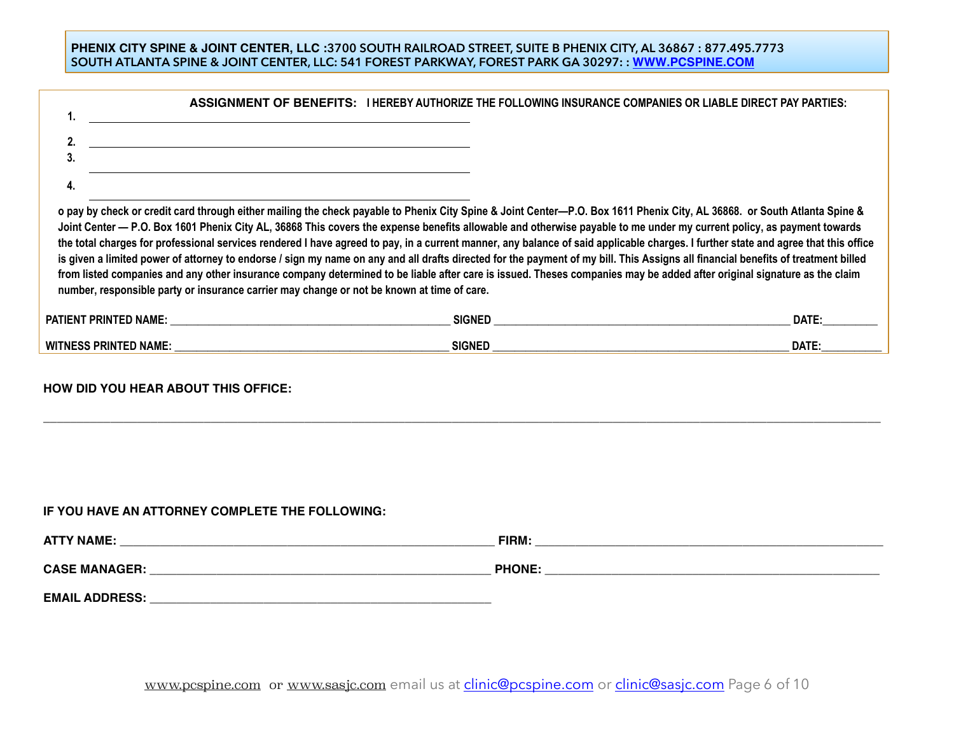### **PHENIX CITY SPINE & JOINT CENTER, LLC :3700 SOUTH RAILROAD STREET, SUITE B PHENIX CITY, AL 36867 : 877.495.7773 SOUTH ATLANTA SPINE & JOINT CENTER, LLC: 541 FOREST PARKWAY, FOREST PARK GA 30297: : [WWW.PCSPINE.COM](http://www.pcspine.com)**

|                                                                                                                 | ASSIGNMENT OF BENEFITS: I HEREBY AUTHORIZE THE FOLLOWING INSURANCE COMPANIES OR LIABLE DIRECT PAY PARTIES:                                                                                                                                                                                                                                                                                                                                                                                                                                                                                                                                                                                                                                                                                                                                                                                              |              |
|-----------------------------------------------------------------------------------------------------------------|---------------------------------------------------------------------------------------------------------------------------------------------------------------------------------------------------------------------------------------------------------------------------------------------------------------------------------------------------------------------------------------------------------------------------------------------------------------------------------------------------------------------------------------------------------------------------------------------------------------------------------------------------------------------------------------------------------------------------------------------------------------------------------------------------------------------------------------------------------------------------------------------------------|--------------|
|                                                                                                                 |                                                                                                                                                                                                                                                                                                                                                                                                                                                                                                                                                                                                                                                                                                                                                                                                                                                                                                         |              |
| 4.                                                                                                              |                                                                                                                                                                                                                                                                                                                                                                                                                                                                                                                                                                                                                                                                                                                                                                                                                                                                                                         |              |
| number, responsible party or insurance carrier may change or not be known at time of care.                      | o pay by check or credit card through either mailing the check payable to Phenix City Spine & Joint Center-P.O. Box 1611 Phenix City, AL 36868. or South Atlanta Spine &<br>Joint Center - P.O. Box 1601 Phenix City AL, 36868 This covers the expense benefits allowable and otherwise payable to me under my current policy, as payment towards<br>the total charges for professional services rendered I have agreed to pay, in a current manner, any balance of said applicable charges. I further state and agree that this office<br>is given a limited power of attorney to endorse / sign my name on any and all drafts directed for the payment of my bill. This Assigns all financial benefits of treatment billed<br>from listed companies and any other insurance company determined to be liable after care is issued. Theses companies may be added after original signature as the claim |              |
| PATIENT PRINTED NAME: THE STATE OF THE STATE OF THE STATE OF THE STATE OF THE STATE OF THE STATE OF THE STATE O | SIGNED SIGNED                                                                                                                                                                                                                                                                                                                                                                                                                                                                                                                                                                                                                                                                                                                                                                                                                                                                                           | <b>DATE:</b> |
|                                                                                                                 | SIGNED AND SIGNED AND STRUCK AND ALL THE SIGNED AND STRUCK AND STRUCK AND STRUCK AND STRUCK AND STRUCK AND STRUCK AND STRUCK AND STRUCK AND STRUCK AND STRUCK AND STRUCK AND STRUCK AND STRUCK AND STRUCK AND STRUCK AND STRUC                                                                                                                                                                                                                                                                                                                                                                                                                                                                                                                                                                                                                                                                          | DATE:        |

**HOW DID YOU HEAR ABOUT THIS OFFICE:** 

## **IF YOU HAVE AN ATTORNEY COMPLETE THE FOLLOWING:**

| <b>ATTY NAME:</b>     | FIRM:         |
|-----------------------|---------------|
| <b>CASE MANAGER:</b>  | <b>PHONE:</b> |
| <b>EMAIL ADDRESS:</b> |               |

**\_\_\_\_\_\_\_\_\_\_\_\_\_\_\_\_\_\_\_\_\_\_\_\_\_\_\_\_\_\_\_\_\_\_\_\_\_\_\_\_\_\_\_\_\_\_\_\_\_\_\_\_\_\_\_\_\_\_\_\_\_\_\_\_\_\_\_\_\_\_\_\_\_\_\_\_\_\_\_\_\_\_\_\_\_\_\_\_\_\_\_\_\_\_\_\_\_\_\_\_\_\_\_\_\_\_\_\_\_\_\_\_\_\_\_\_\_\_\_\_\_\_\_\_\_**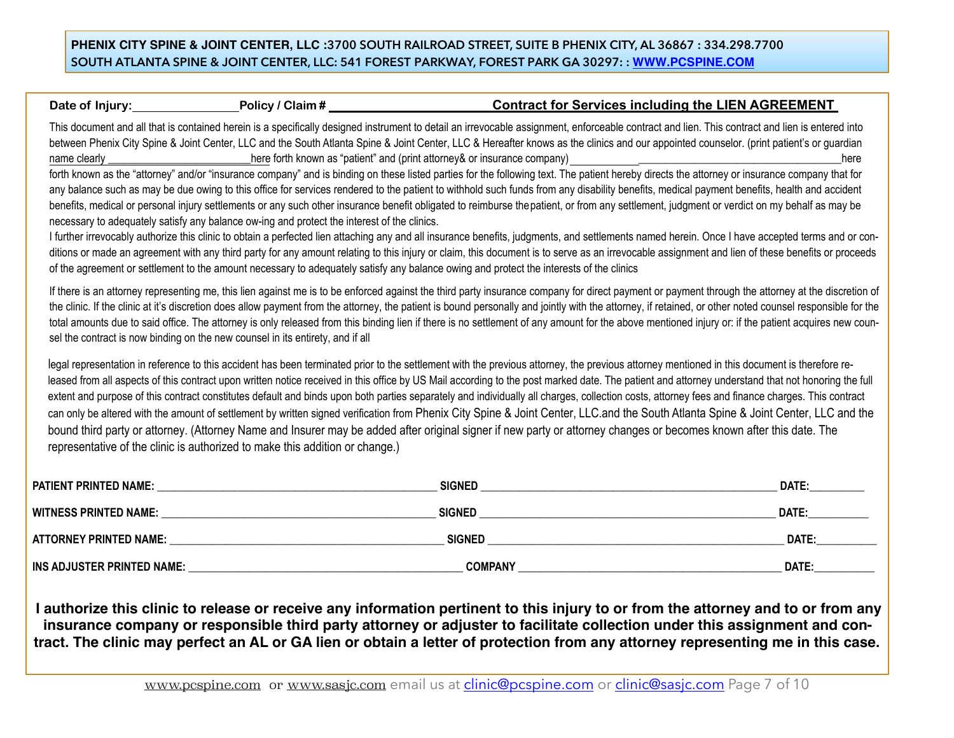## **PHENIX CITY SPINE & JOINT CENTER, LLC :3700 SOUTH RAILROAD STREET, SUITE B PHENIX CITY, AL 36867 : 334.298.7700 SOUTH ATLANTA SPINE & JOINT CENTER, LLC: 541 FOREST PARKWAY, FOREST PARK GA 30297: : [WWW.PCSPINE.COM](http://www.pcspine.com)**

## Date of Injury: Policy / Claim # **1998 Contract for Services including the LIEN AGREEMENT**

This document and all that is contained herein is a specifically designed instrument to detail an irrevocable assignment, enforceable contract and lien. This contract and lien is entered into between Phenix City Spine & Joint Center, LLC and the South Atlanta Spine & Joint Center, LLC & Hereafter knows as the clinics and our appointed counselor. (print patient's or guardian name clearly ending the state of the state of the known as "patient" and (print attorney& or insurance company)  $\Box$ 

forth known as the "attorney" and/or "insurance company" and is binding on these listed parties for the following text. The patient hereby directs the attorney or insurance company that for any balance such as may be due owing to this office for services rendered to the patient to withhold such funds from any disability benefits, medical payment benefits, health and accident benefits, medical or personal injury settlements or any such other insurance benefit obligated to reimburse the patient, or from any settlement, judgment or verdict on my behalf as may be necessary to adequately satisfy any balance ow-ing and protect the interest of the clinics.

I further irrevocably authorize this clinic to obtain a perfected lien attaching any and all insurance benefits, judgments, and settlements named herein. Once I have accepted terms and or conditions or made an agreement with any third party for any amount relating to this injury or claim, this document is to serve as an irrevocable assignment and lien of these benefits or proceeds of the agreement or settlement to the amount necessary to adequately satisfy any balance owing and protect the interests of the clinics

If there is an attorney representing me, this lien against me is to be enforced against the third party insurance company for direct payment or payment through the attorney at the discretion of the clinic. If the clinic at it's discretion does allow payment from the attorney, the patient is bound personally and jointly with the attorney, if retained, or other noted counsel responsible for the total amounts due to said office. The attorney is only released from this binding lien if there is no settlement of any amount for the above mentioned injury or: if the patient acquires new counsel the contract is now binding on the new counsel in its entirety, and if all

legal representation in reference to this accident has been terminated prior to the settlement with the previous attorney, the previous attorney mentioned in this document is therefore released from all aspects of this contract upon written notice received in this office by US Mail according to the post marked date. The patient and attorney understand that not honoring the full extent and purpose of this contract constitutes default and binds upon both parties separately and individually all charges, collection costs, attorney fees and finance charges. This contract can only be altered with the amount of settlement by written signed verification from Phenix City Spine & Joint Center, LLC.and the South Atlanta Spine & Joint Center, LLC and the bound third party or attorney. (Attorney Name and Insurer may be added after original signer if new party or attorney changes or becomes known after this date. The representative of the clinic is authorized to make this addition or change.)

| PATIENT PRINTED NAME:         | <b>SIGNED</b>  | DATE: |
|-------------------------------|----------------|-------|
| <b>WITNESS PRINTED NAME:</b>  | <b>SIGNED</b>  | DATE: |
| <b>ATTORNEY PRINTED NAME:</b> | <b>SIGNED</b>  | DATE: |
| INS ADJUSTER PRINTED NAME:    | <b>COMPANY</b> | DATE: |

**I authorize this clinic to release or receive any information pertinent to this injury to or from the attorney and to or from any insurance company or responsible third party attorney or adjuster to facilitate collection under this assignment and contract. The clinic may perfect an AL or GA lien or obtain a letter of protection from any attorney representing me in this case.**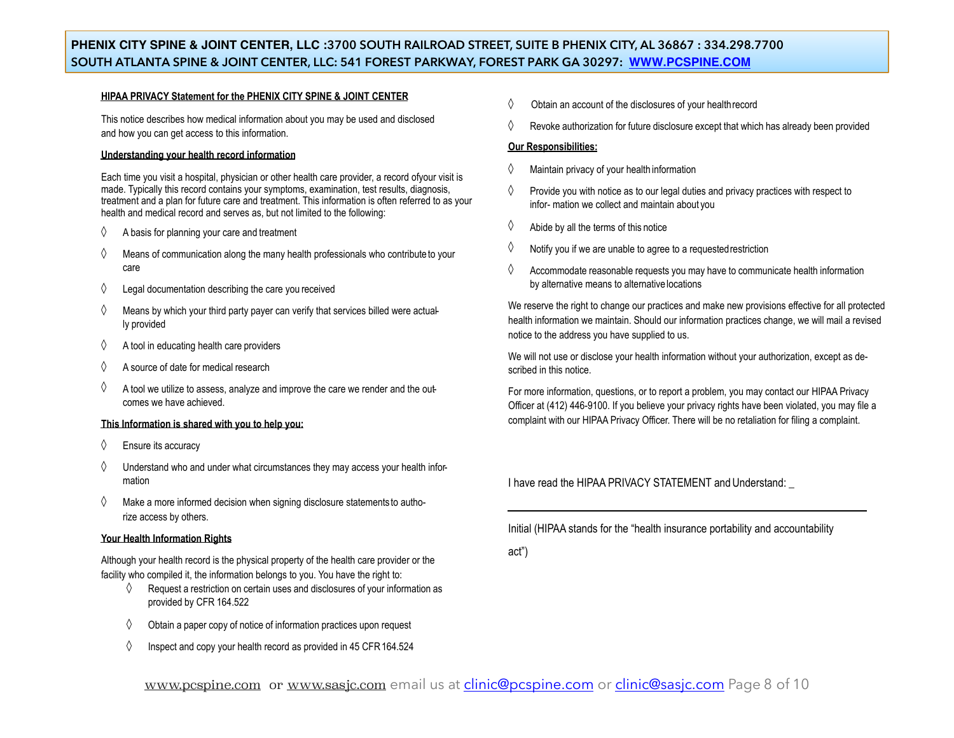## **PHENIX CITY SPINE & JOINT CENTER, LLC :3700 SOUTH RAILROAD STREET, SUITE B PHENIX CITY, AL 36867 : 334.298.7700 SOUTH ATLANTA SPINE & JOINT CENTER, LLC: 541 FOREST PARKWAY, FOREST PARK GA 30297: [WWW.PCSPINE.COM](http://www.pcspine.com)**

#### **HIPAA PRIVACY Statement for the PHENIX CITY SPINE & JOINT CENTER**

This notice describes how medical information about you may be used and disclosed and how you can get access to this information.

#### **Understanding your health record information**

Each time you visit a hospital, physician or other health care provider, a record ofyour visit is made. Typically this record contains your symptoms, examination, test results, diagnosis, treatment and a plan for future care and treatment. This information is often referred to as your health and medical record and serves as, but not limited to the following:

- $\Diamond$  A basis for planning your care and treatment
- $\Diamond$  Means of communication along the many health professionals who contribute to your care
- $\Diamond$  Legal documentation describing the care you received
- $\Diamond$  Means by which your third party payer can verify that services billed were actually provided
- $\diamondsuit$  A tool in educating health care providers
- $\Diamond$  A source of date for medical research
- $\Diamond$  A tool we utilize to assess, analyze and improve the care we render and the outcomes we have achieved.

#### **This Information is shared with you to help you:**

- ◊ Ensure its accuracy
- $\diamond$  Understand who and under what circumstances they may access your health information
- $\Diamond$  Make a more informed decision when signing disclosure statements to authorize access by others.

#### **Your Health Information Rights**

Although your health record is the physical property of the health care provider or the facility who compiled it, the information belongs to you. You have the right to:

- $\Diamond$  Request a restriction on certain uses and disclosures of your information as provided by CFR 164.522
- $\Diamond$  Obtain a paper copy of notice of information practices upon request
- $\Diamond$  Inspect and copy your health record as provided in 45 CFR 164.524
- $\Diamond$  Obtain an account of the disclosures of your health record
- $\Diamond$  Revoke authorization for future disclosure except that which has already been provided

#### **Our Responsibilities:**

- Maintain privacy of your health information
- $\Diamond$  Provide you with notice as to our legal duties and privacy practices with respect to infor- mation we collect and maintain about you
- $\Diamond$  Abide by all the terms of this notice
- $\Diamond$  Notify you if we are unable to agree to a requested restriction
- $\Diamond$  Accommodate reasonable requests you may have to communicate health information by alternative means to alternative locations

We reserve the right to change our practices and make new provisions effective for all protected health information we maintain. Should our information practices change, we will mail a revised notice to the address you have supplied to us.

We will not use or disclose your health information without your authorization, except as described in this notice.

For more information, questions, or to report a problem, you may contact our HIPAA Privacy Officer at (412) 446-9100. If you believe your privacy rights have been violated, you may file a complaint with our HIPAA Privacy Officer. There will be no retaliation for filing a complaint.

I have read the HIPAA PRIVACY STATEMENT and Understand: \_

Initial (HIPAA stands for the "health insurance portability and accountability

act")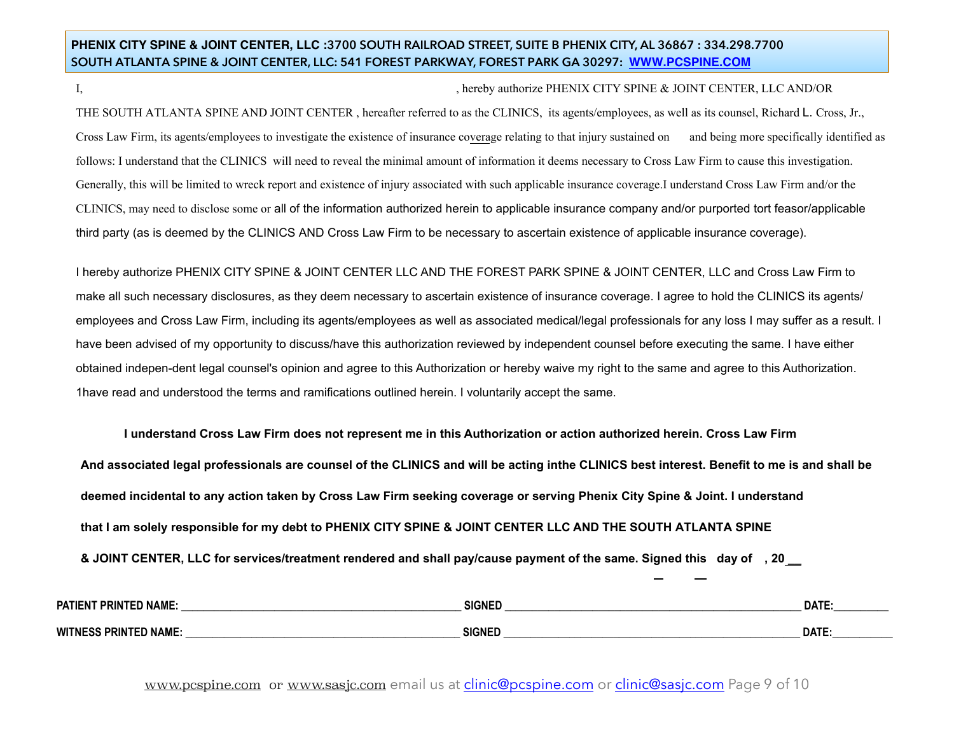## **PHENIX CITY SPINE & JOINT CENTER, LLC :3700 SOUTH RAILROAD STREET, SUITE B PHENIX CITY, AL 36867 : 334.298.7700 SOUTH ATLANTA SPINE & JOINT CENTER, LLC: 541 FOREST PARKWAY, FOREST PARK GA 30297: [WWW.PCSPINE.COM](http://www.pcspine.com)**

#### I, hereby authorize PHENIX CITY SPINE & JOINT CENTER, LLC AND/OR

THE SOUTH ATLANTA SPINE AND JOINT CENTER , hereafter referred to as the CLINICS, its agents/employees, as well as its counsel, Richard L. Cross, Jr., Cross Law Firm, its agents/employees to investigate the existence of insurance coverage relating to that injury sustained on and being more specifically identified as follows: I understand that the CLINICS will need to reveal the minimal amount of information it deems necessary to Cross Law Firm to cause this investigation. Generally, this will be limited to wreck report and existence of injury associated with such applicable insurance coverage.I understand Cross Law Firm and/or the CLINICS, may need to disclose some or all of the information authorized herein to applicable insurance company and/or purported tort feasor/applicable third party (as is deemed by the CLINICS AND Cross Law Firm to be necessary to ascertain existence of applicable insurance coverage).

I hereby authorize PHENIX CITY SPINE & JOINT CENTER LLC AND THE FOREST PARK SPINE & JOINT CENTER, LLC and Cross Law Firm to make all such necessary disclosures, as they deem necessary to ascertain existence of insurance coverage. I agree to hold the CLINICS its agents/ employees and Cross Law Firm, including its agents/employees as well as associated medical/legal professionals for any loss I may suffer as a result. I have been advised of my opportunity to discuss/have this authorization reviewed by independent counsel before executing the same. I have either obtained indepen-dent legal counsel's opinion and agree to this Authorization or hereby waive my right to the same and agree to this Authorization. 1have read and understood the terms and ramifications outlined herein. I voluntarily accept the same.

**I understand Cross Law Firm does not represent me in this Authorization or action authorized herein. Cross Law Firm And associated legal professionals are counsel of the CLINICS and will be acting inthe CLINICS best interest. Benefit to me is and shall be deemed incidental to any action taken by Cross Law Firm seeking coverage or serving Phenix City Spine & Joint. I understand that I am solely responsible for my debt to PHENIX CITY SPINE & JOINT CENTER LLC AND THE SOUTH ATLANTA SPINE** 

**& JOINT CENTER, LLC for services/treatment rendered and shall pay/cause payment of the same. Signed this day of , 20 \_\_** 

| <b>PATIE</b><br><b>PRIN</b><br><b>NAML</b> | <b>SIGNED</b> | <b>DATE</b> |
|--------------------------------------------|---------------|-------------|
| <b>WITNE</b><br>J NAME                     | <b>SIGNED</b> | <b>DATE</b> |

www.pcspine.com or [www.sasjc.com](http://www.sasjc.com) email us at [clinic@pcspine.com](mailto:clinic@pcspine.com) or [clinic@sasjc.com](mailto:clinic@sasjc.com) Page 9 of 10